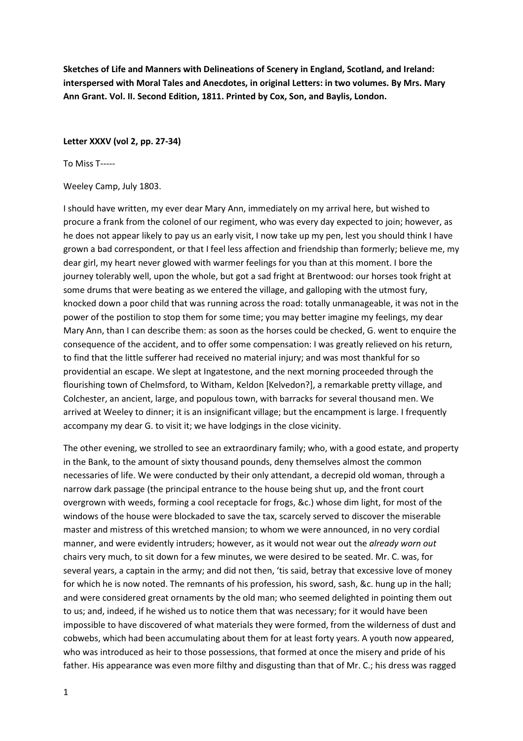Sketches of Life and Manners with Delineations of Scenery in England, Scotland, and Ireland: interspersed with Moral Tales and Anecdotes, in original Letters: in two volumes. By Mrs. Mary Ann Grant. Vol. II. Second Edition, 1811. Printed by Cox, Son, and Baylis, London.

### Letter XXXV (vol 2, pp. 27-34)

To Miss T-----

Weeley Camp, July 1803.

I should have written, my ever dear Mary Ann, immediately on my arrival here, but wished to procure a frank from the colonel of our regiment, who was every day expected to join; however, as he does not appear likely to pay us an early visit, I now take up my pen, lest you should think I have grown a bad correspondent, or that I feel less affection and friendship than formerly; believe me, my dear girl, my heart never glowed with warmer feelings for you than at this moment. I bore the journey tolerably well, upon the whole, but got a sad fright at Brentwood: our horses took fright at some drums that were beating as we entered the village, and galloping with the utmost fury, knocked down a poor child that was running across the road: totally unmanageable, it was not in the power of the postilion to stop them for some time; you may better imagine my feelings, my dear Mary Ann, than I can describe them: as soon as the horses could be checked, G. went to enquire the consequence of the accident, and to offer some compensation: I was greatly relieved on his return, to find that the little sufferer had received no material injury; and was most thankful for so providential an escape. We slept at Ingatestone, and the next morning proceeded through the flourishing town of Chelmsford, to Witham, Keldon [Kelvedon?], a remarkable pretty village, and Colchester, an ancient, large, and populous town, with barracks for several thousand men. We arrived at Weeley to dinner; it is an insignificant village; but the encampment is large. I frequently accompany my dear G. to visit it; we have lodgings in the close vicinity.

The other evening, we strolled to see an extraordinary family; who, with a good estate, and property in the Bank, to the amount of sixty thousand pounds, deny themselves almost the common necessaries of life. We were conducted by their only attendant, a decrepid old woman, through a narrow dark passage (the principal entrance to the house being shut up, and the front court overgrown with weeds, forming a cool receptacle for frogs, &c.) whose dim light, for most of the windows of the house were blockaded to save the tax, scarcely served to discover the miserable master and mistress of this wretched mansion; to whom we were announced, in no very cordial manner, and were evidently intruders; however, as it would not wear out the already worn out chairs very much, to sit down for a few minutes, we were desired to be seated. Mr. C. was, for several years, a captain in the army; and did not then, 'tis said, betray that excessive love of money for which he is now noted. The remnants of his profession, his sword, sash, &c. hung up in the hall; and were considered great ornaments by the old man; who seemed delighted in pointing them out to us; and, indeed, if he wished us to notice them that was necessary; for it would have been impossible to have discovered of what materials they were formed, from the wilderness of dust and cobwebs, which had been accumulating about them for at least forty years. A youth now appeared, who was introduced as heir to those possessions, that formed at once the misery and pride of his father. His appearance was even more filthy and disgusting than that of Mr. C.; his dress was ragged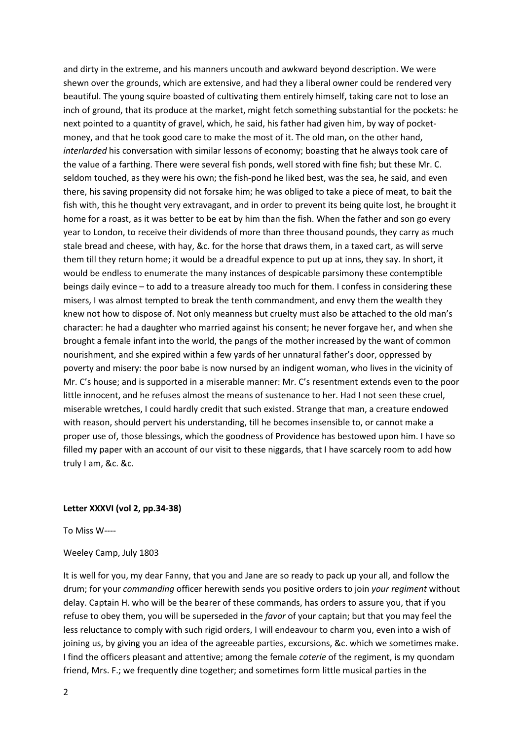and dirty in the extreme, and his manners uncouth and awkward beyond description. We were shewn over the grounds, which are extensive, and had they a liberal owner could be rendered very beautiful. The young squire boasted of cultivating them entirely himself, taking care not to lose an inch of ground, that its produce at the market, might fetch something substantial for the pockets: he next pointed to a quantity of gravel, which, he said, his father had given him, by way of pocketmoney, and that he took good care to make the most of it. The old man, on the other hand, interlarded his conversation with similar lessons of economy; boasting that he always took care of the value of a farthing. There were several fish ponds, well stored with fine fish; but these Mr. C. seldom touched, as they were his own; the fish-pond he liked best, was the sea, he said, and even there, his saving propensity did not forsake him; he was obliged to take a piece of meat, to bait the fish with, this he thought very extravagant, and in order to prevent its being quite lost, he brought it home for a roast, as it was better to be eat by him than the fish. When the father and son go every year to London, to receive their dividends of more than three thousand pounds, they carry as much stale bread and cheese, with hay, &c. for the horse that draws them, in a taxed cart, as will serve them till they return home; it would be a dreadful expence to put up at inns, they say. In short, it would be endless to enumerate the many instances of despicable parsimony these contemptible beings daily evince – to add to a treasure already too much for them. I confess in considering these misers, I was almost tempted to break the tenth commandment, and envy them the wealth they knew not how to dispose of. Not only meanness but cruelty must also be attached to the old man's character: he had a daughter who married against his consent; he never forgave her, and when she brought a female infant into the world, the pangs of the mother increased by the want of common nourishment, and she expired within a few yards of her unnatural father's door, oppressed by poverty and misery: the poor babe is now nursed by an indigent woman, who lives in the vicinity of Mr. C's house; and is supported in a miserable manner: Mr. C's resentment extends even to the poor little innocent, and he refuses almost the means of sustenance to her. Had I not seen these cruel, miserable wretches, I could hardly credit that such existed. Strange that man, a creature endowed with reason, should pervert his understanding, till he becomes insensible to, or cannot make a proper use of, those blessings, which the goodness of Providence has bestowed upon him. I have so filled my paper with an account of our visit to these niggards, that I have scarcely room to add how truly I am, &c. &c.

#### Letter XXXVI (vol 2, pp.34-38)

To Miss W----

#### Weeley Camp, July 1803

It is well for you, my dear Fanny, that you and Jane are so ready to pack up your all, and follow the drum; for your *commanding* officer herewith sends you positive orders to join your regiment without delay. Captain H. who will be the bearer of these commands, has orders to assure you, that if you refuse to obey them, you will be superseded in the favor of your captain; but that you may feel the less reluctance to comply with such rigid orders, I will endeavour to charm you, even into a wish of joining us, by giving you an idea of the agreeable parties, excursions, &c. which we sometimes make. I find the officers pleasant and attentive; among the female *coterie* of the regiment, is my quondam friend, Mrs. F.; we frequently dine together; and sometimes form little musical parties in the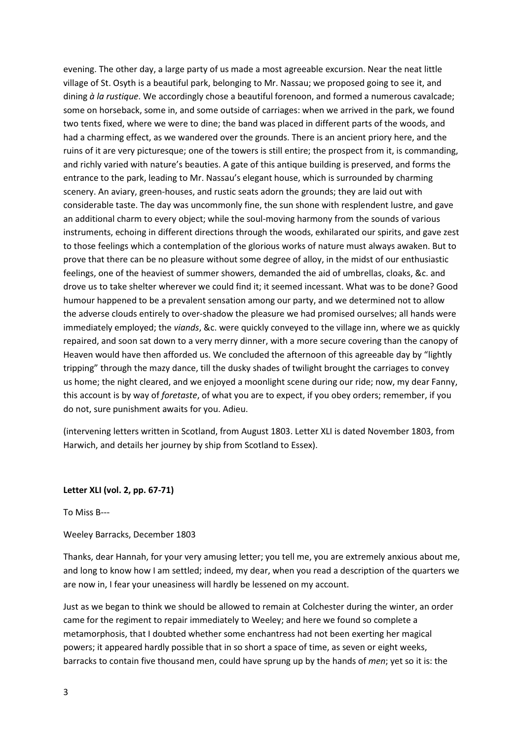evening. The other day, a large party of us made a most agreeable excursion. Near the neat little village of St. Osyth is a beautiful park, belonging to Mr. Nassau; we proposed going to see it, and dining  $\dot{a}$  la rustique. We accordingly chose a beautiful forenoon, and formed a numerous cavalcade; some on horseback, some in, and some outside of carriages: when we arrived in the park, we found two tents fixed, where we were to dine; the band was placed in different parts of the woods, and had a charming effect, as we wandered over the grounds. There is an ancient priory here, and the ruins of it are very picturesque; one of the towers is still entire; the prospect from it, is commanding, and richly varied with nature's beauties. A gate of this antique building is preserved, and forms the entrance to the park, leading to Mr. Nassau's elegant house, which is surrounded by charming scenery. An aviary, green-houses, and rustic seats adorn the grounds; they are laid out with considerable taste. The day was uncommonly fine, the sun shone with resplendent lustre, and gave an additional charm to every object; while the soul-moving harmony from the sounds of various instruments, echoing in different directions through the woods, exhilarated our spirits, and gave zest to those feelings which a contemplation of the glorious works of nature must always awaken. But to prove that there can be no pleasure without some degree of alloy, in the midst of our enthusiastic feelings, one of the heaviest of summer showers, demanded the aid of umbrellas, cloaks, &c. and drove us to take shelter wherever we could find it; it seemed incessant. What was to be done? Good humour happened to be a prevalent sensation among our party, and we determined not to allow the adverse clouds entirely to over-shadow the pleasure we had promised ourselves; all hands were immediately employed; the viands, &c. were quickly conveyed to the village inn, where we as quickly repaired, and soon sat down to a very merry dinner, with a more secure covering than the canopy of Heaven would have then afforded us. We concluded the afternoon of this agreeable day by "lightly tripping" through the mazy dance, till the dusky shades of twilight brought the carriages to convey us home; the night cleared, and we enjoyed a moonlight scene during our ride; now, my dear Fanny, this account is by way of foretaste, of what you are to expect, if you obey orders; remember, if you do not, sure punishment awaits for you. Adieu.

(intervening letters written in Scotland, from August 1803. Letter XLI is dated November 1803, from Harwich, and details her journey by ship from Scotland to Essex).

## Letter XLI (vol. 2, pp. 67-71)

To Miss B---

#### Weeley Barracks, December 1803

Thanks, dear Hannah, for your very amusing letter; you tell me, you are extremely anxious about me, and long to know how I am settled; indeed, my dear, when you read a description of the quarters we are now in, I fear your uneasiness will hardly be lessened on my account.

Just as we began to think we should be allowed to remain at Colchester during the winter, an order came for the regiment to repair immediately to Weeley; and here we found so complete a metamorphosis, that I doubted whether some enchantress had not been exerting her magical powers; it appeared hardly possible that in so short a space of time, as seven or eight weeks, barracks to contain five thousand men, could have sprung up by the hands of men; yet so it is: the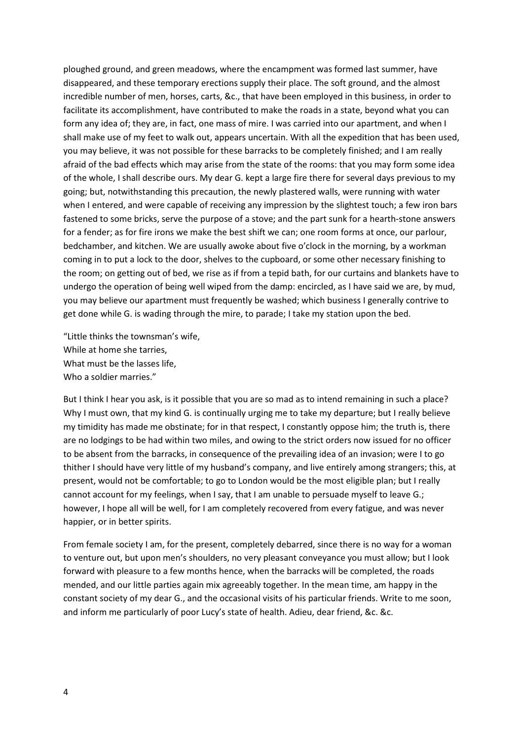ploughed ground, and green meadows, where the encampment was formed last summer, have disappeared, and these temporary erections supply their place. The soft ground, and the almost incredible number of men, horses, carts, &c., that have been employed in this business, in order to facilitate its accomplishment, have contributed to make the roads in a state, beyond what you can form any idea of; they are, in fact, one mass of mire. I was carried into our apartment, and when I shall make use of my feet to walk out, appears uncertain. With all the expedition that has been used, you may believe, it was not possible for these barracks to be completely finished; and I am really afraid of the bad effects which may arise from the state of the rooms: that you may form some idea of the whole, I shall describe ours. My dear G. kept a large fire there for several days previous to my going; but, notwithstanding this precaution, the newly plastered walls, were running with water when I entered, and were capable of receiving any impression by the slightest touch; a few iron bars fastened to some bricks, serve the purpose of a stove; and the part sunk for a hearth-stone answers for a fender; as for fire irons we make the best shift we can; one room forms at once, our parlour, bedchamber, and kitchen. We are usually awoke about five o'clock in the morning, by a workman coming in to put a lock to the door, shelves to the cupboard, or some other necessary finishing to the room; on getting out of bed, we rise as if from a tepid bath, for our curtains and blankets have to undergo the operation of being well wiped from the damp: encircled, as I have said we are, by mud, you may believe our apartment must frequently be washed; which business I generally contrive to get done while G. is wading through the mire, to parade; I take my station upon the bed.

"Little thinks the townsman's wife, While at home she tarries, What must be the lasses life, Who a soldier marries."

But I think I hear you ask, is it possible that you are so mad as to intend remaining in such a place? Why I must own, that my kind G. is continually urging me to take my departure; but I really believe my timidity has made me obstinate; for in that respect, I constantly oppose him; the truth is, there are no lodgings to be had within two miles, and owing to the strict orders now issued for no officer to be absent from the barracks, in consequence of the prevailing idea of an invasion; were I to go thither I should have very little of my husband's company, and live entirely among strangers; this, at present, would not be comfortable; to go to London would be the most eligible plan; but I really cannot account for my feelings, when I say, that I am unable to persuade myself to leave G.; however, I hope all will be well, for I am completely recovered from every fatigue, and was never happier, or in better spirits.

From female society I am, for the present, completely debarred, since there is no way for a woman to venture out, but upon men's shoulders, no very pleasant conveyance you must allow; but I look forward with pleasure to a few months hence, when the barracks will be completed, the roads mended, and our little parties again mix agreeably together. In the mean time, am happy in the constant society of my dear G., and the occasional visits of his particular friends. Write to me soon, and inform me particularly of poor Lucy's state of health. Adieu, dear friend, &c. &c.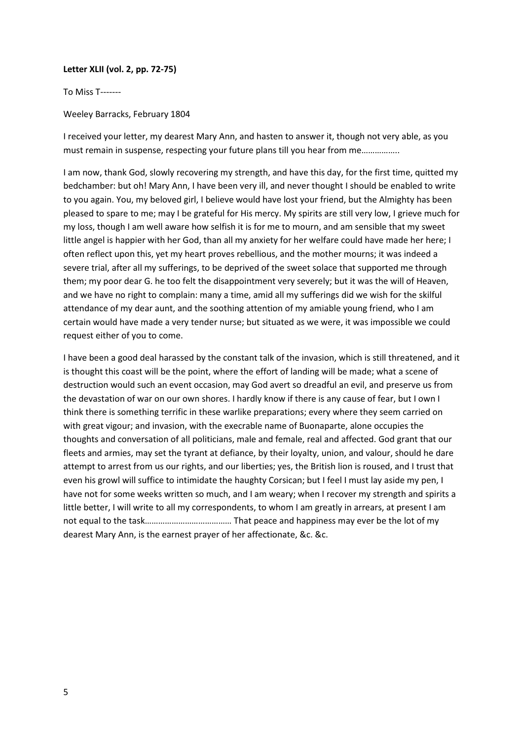### Letter XLII (vol. 2, pp. 72-75)

### To Miss T-------

### Weeley Barracks, February 1804

I received your letter, my dearest Mary Ann, and hasten to answer it, though not very able, as you must remain in suspense, respecting your future plans till you hear from me……………..

I am now, thank God, slowly recovering my strength, and have this day, for the first time, quitted my bedchamber: but oh! Mary Ann, I have been very ill, and never thought I should be enabled to write to you again. You, my beloved girl, I believe would have lost your friend, but the Almighty has been pleased to spare to me; may I be grateful for His mercy. My spirits are still very low, I grieve much for my loss, though I am well aware how selfish it is for me to mourn, and am sensible that my sweet little angel is happier with her God, than all my anxiety for her welfare could have made her here; I often reflect upon this, yet my heart proves rebellious, and the mother mourns; it was indeed a severe trial, after all my sufferings, to be deprived of the sweet solace that supported me through them; my poor dear G. he too felt the disappointment very severely; but it was the will of Heaven, and we have no right to complain: many a time, amid all my sufferings did we wish for the skilful attendance of my dear aunt, and the soothing attention of my amiable young friend, who I am certain would have made a very tender nurse; but situated as we were, it was impossible we could request either of you to come.

I have been a good deal harassed by the constant talk of the invasion, which is still threatened, and it is thought this coast will be the point, where the effort of landing will be made; what a scene of destruction would such an event occasion, may God avert so dreadful an evil, and preserve us from the devastation of war on our own shores. I hardly know if there is any cause of fear, but I own I think there is something terrific in these warlike preparations; every where they seem carried on with great vigour; and invasion, with the execrable name of Buonaparte, alone occupies the thoughts and conversation of all politicians, male and female, real and affected. God grant that our fleets and armies, may set the tyrant at defiance, by their loyalty, union, and valour, should he dare attempt to arrest from us our rights, and our liberties; yes, the British lion is roused, and I trust that even his growl will suffice to intimidate the haughty Corsican; but I feel I must lay aside my pen, I have not for some weeks written so much, and I am weary; when I recover my strength and spirits a little better, I will write to all my correspondents, to whom I am greatly in arrears, at present I am not equal to the task………………………………… That peace and happiness may ever be the lot of my dearest Mary Ann, is the earnest prayer of her affectionate, &c. &c.